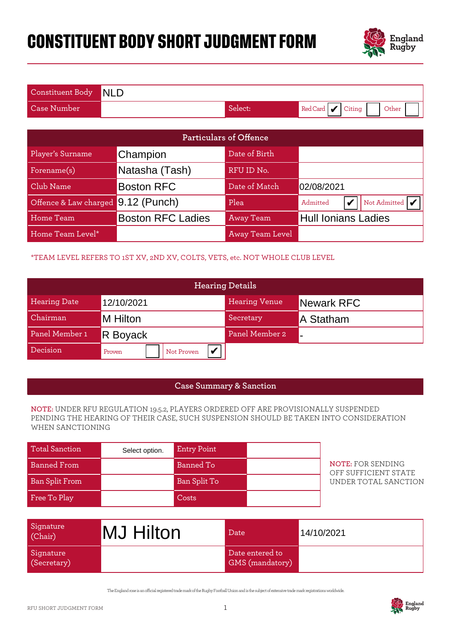# **CONSTITUENT BODY SHORT JUDGMENT FORM**



| Constituent Body NLD |         |                                    |
|----------------------|---------|------------------------------------|
| Case Number'         | Select: | Red Card $\bigvee$ Citing<br>Other |

| <b>Particulars of Offence</b>      |                          |                  |                                                   |  |  |
|------------------------------------|--------------------------|------------------|---------------------------------------------------|--|--|
| Player's Surname                   | Champion                 | Date of Birth    |                                                   |  |  |
| Forename(s)                        | Natasha (Tash)           | RFU ID No.       |                                                   |  |  |
| Club Name                          | <b>Boston RFC</b>        | Date of Match    | 02/08/2021                                        |  |  |
| Offence & Law charged 9.12 (Punch) |                          | Plea             | Not Admitted $\vert \mathbf{V} \vert$<br>Admitted |  |  |
| Home Team                          | <b>Boston RFC Ladies</b> | <b>Away Team</b> | <b>Hull Ionians Ladies</b>                        |  |  |
| Home Team Level*                   |                          | Away Team Level  |                                                   |  |  |

### \*TEAM LEVEL REFERS TO 1ST XV, 2ND XV, COLTS, VETS, etc. NOT WHOLE CLUB LEVEL

| Offence & Law charged 9.12 (Punch)                                                                                                                                                              |                          |                  | Plea               |                                    | Admitted             | V | Not Admitted $\mathcal V$  |                                                  |  |
|-------------------------------------------------------------------------------------------------------------------------------------------------------------------------------------------------|--------------------------|------------------|--------------------|------------------------------------|----------------------|---|----------------------------|--------------------------------------------------|--|
| Home Team                                                                                                                                                                                       | <b>Boston RFC Ladies</b> |                  |                    | <b>Away Team</b>                   |                      |   | <b>Hull Ionians Ladies</b> |                                                  |  |
| Home Team Level*                                                                                                                                                                                |                          |                  |                    | <b>Away Team Level</b>             |                      |   |                            |                                                  |  |
| *TEAM LEVEL REFERS TO 1ST XV, 2ND XV, COLTS, VETS, etc. NOT WHOLE CLUB LEVEL                                                                                                                    |                          |                  |                    |                                    |                      |   |                            |                                                  |  |
|                                                                                                                                                                                                 |                          |                  |                    | <b>Hearing Details</b>             |                      |   |                            |                                                  |  |
| <b>Hearing Date</b>                                                                                                                                                                             | 12/10/2021               |                  |                    |                                    | <b>Hearing Venue</b> |   | Newark RFC                 |                                                  |  |
| Chairman                                                                                                                                                                                        | M Hilton                 |                  |                    |                                    | Secretary            |   | A Statham                  |                                                  |  |
| Panel Member 1                                                                                                                                                                                  | R Boyack                 |                  |                    | Panel Member 2                     |                      |   |                            |                                                  |  |
| Decision                                                                                                                                                                                        | Proven                   |                  | Not Proven         | V                                  |                      |   |                            |                                                  |  |
|                                                                                                                                                                                                 |                          |                  |                    |                                    |                      |   |                            |                                                  |  |
|                                                                                                                                                                                                 |                          |                  |                    | <b>Case Summary &amp; Sanction</b> |                      |   |                            |                                                  |  |
| NOTE: UNDER RFU REGULATION 19.5.2, PLAYERS ORDERED OFF ARE PROVISIONALLY SUSPENDED<br>PENDING THE HEARING OF THEIR CASE, SUCH SUSPENSION SHOULD BE TAKEN INTO CONSIDERATION<br>WHEN SANCTIONING |                          |                  |                    |                                    |                      |   |                            |                                                  |  |
| <b>Total Sanction</b>                                                                                                                                                                           |                          | Select option.   | <b>Entry Point</b> |                                    |                      |   |                            |                                                  |  |
| <b>Banned From</b>                                                                                                                                                                              |                          | <b>Banned To</b> |                    |                                    |                      |   |                            | <b>NOTE: FOR SENDING</b><br>OFF SUFFICIENT STATE |  |
| <b>Ban Split From</b>                                                                                                                                                                           |                          |                  | Ban Split To       |                                    |                      |   |                            | UNDER TOTAL SANCTION                             |  |
| Free To Play                                                                                                                                                                                    |                          |                  | Costs              |                                    |                      |   |                            |                                                  |  |
| Signature<br>(Chair)                                                                                                                                                                            | <b>MJ Hilton</b>         |                  |                    | Date                               |                      |   | 14/10/2021                 |                                                  |  |

### **Case Summary & Sanction**

#### **NOTE:** UNDER RFU REGULATION 19.5.2, PLAYERS ORDERED OFF ARE PROVISIONALLY SUSPENDED PENDING THE HEARING OF THEIR CASE, SUCH SUSPENSION SHOULD BE TAKEN INTO CONSIDERATION WHEN SANCTIONING

| <b>Total Sanction</b> | Select option. | <b>Entry Point</b> |  |
|-----------------------|----------------|--------------------|--|
| Banned From           |                | <b>Banned To</b>   |  |
| Ban Split From        |                | Ban Split To       |  |
| Free To Play          |                | Costs              |  |

| Signature<br>(Chair)     | <b>MJ Hilton</b> | Date                                      | 14/10/2021 |
|--------------------------|------------------|-------------------------------------------|------------|
| Signature<br>(Secretary) |                  | Date entered to<br><b>GMS</b> (mandatory) |            |

The England rose is an ocial registered trade mark of the Rugby Football Union and is the subject of extensive trade mark registrations worldwide.

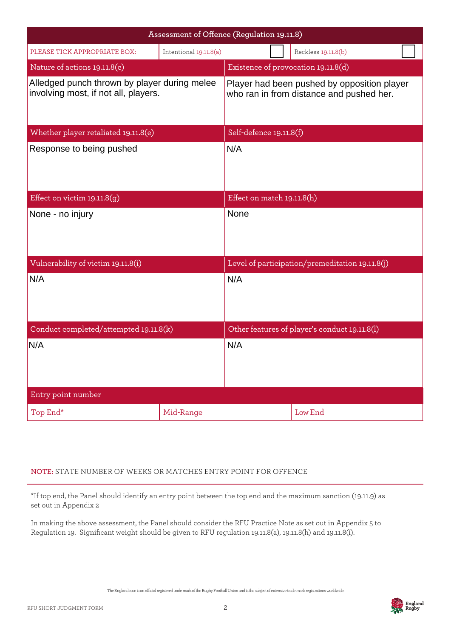|                                                                                      | Assessment of Offence (Regulation 19.11.8)                                              |                            |                     |                                                 |  |
|--------------------------------------------------------------------------------------|-----------------------------------------------------------------------------------------|----------------------------|---------------------|-------------------------------------------------|--|
| PLEASE TICK APPROPRIATE BOX:                                                         |                                                                                         |                            | Reckless 19.11.8(b) |                                                 |  |
| Nature of actions 19.11.8(c)                                                         |                                                                                         |                            |                     | Existence of provocation 19.11.8(d)             |  |
| Alledged punch thrown by player during melee<br>involving most, if not all, players. | Player had been pushed by opposition player<br>who ran in from distance and pushed her. |                            |                     |                                                 |  |
| Whether player retaliated 19.11.8(e)                                                 |                                                                                         | Self-defence 19.11.8(f)    |                     |                                                 |  |
| Response to being pushed                                                             | N/A                                                                                     |                            |                     |                                                 |  |
| Effect on victim $19.11.8(g)$                                                        |                                                                                         | Effect on match 19.11.8(h) |                     |                                                 |  |
| None - no injury                                                                     | <b>None</b>                                                                             |                            |                     |                                                 |  |
| Vulnerability of victim 19.11.8(i)                                                   |                                                                                         |                            |                     | Level of participation/premeditation 19.11.8(j) |  |
| N/A                                                                                  | N/A                                                                                     |                            |                     |                                                 |  |
| Conduct completed/attempted 19.11.8(k)                                               | Other features of player's conduct 19.11.8(l)                                           |                            |                     |                                                 |  |
| N/A                                                                                  |                                                                                         | N/A                        |                     |                                                 |  |
| Entry point number                                                                   |                                                                                         |                            |                     |                                                 |  |
| Top End*                                                                             | Mid-Range                                                                               |                            |                     | Low End                                         |  |

## **NOTE:** STATE NUMBER OF WEEKS OR MATCHES ENTRY POINT FOR OFFENCE

\*If top end, the Panel should identify an entry point between the top end and the maximum sanction (19.11.9) as set out in Appendix 2

In making the above assessment, the Panel should consider the RFU Practice Note as set out in Appendix 5 to Regulation 19. Significant weight should be given to RFU regulation 19.11.8(a), 19.11.8(h) and 19.11.8(i).

The England rose is an ocial registered trade mark of the Rugby Football Union and is the subject of extensive trade mark registrations worldwide.

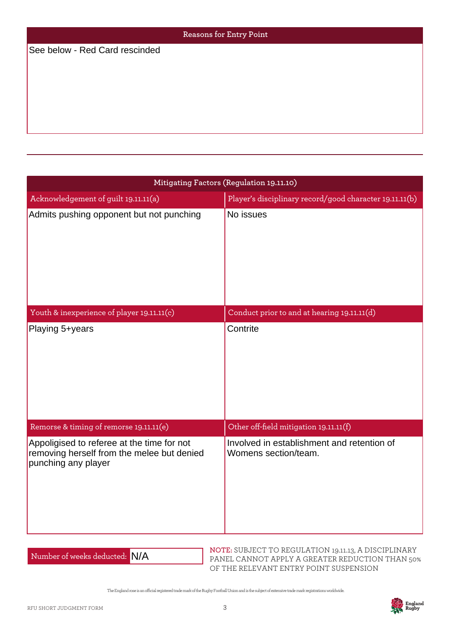| Reasons for Entry Point        |  |  |
|--------------------------------|--|--|
| See below - Red Card rescinded |  |  |
|                                |  |  |
|                                |  |  |
|                                |  |  |
|                                |  |  |
|                                |  |  |

| See below - Red Card rescinded                                                                                  |                                                                    |  |  |  |
|-----------------------------------------------------------------------------------------------------------------|--------------------------------------------------------------------|--|--|--|
|                                                                                                                 |                                                                    |  |  |  |
|                                                                                                                 |                                                                    |  |  |  |
|                                                                                                                 |                                                                    |  |  |  |
|                                                                                                                 | Mitigating Factors (Regulation 19.11.10)                           |  |  |  |
| Acknowledgement of guilt 19.11.11(a)                                                                            | Player's disciplinary record/good character 19.11.11(b)            |  |  |  |
| Admits pushing opponent but not punching                                                                        | No issues                                                          |  |  |  |
| Youth & inexperience of player 19.11.11(c)                                                                      | Conduct prior to and at hearing 19.11.11(d)                        |  |  |  |
| Playing 5+years                                                                                                 | Contrite                                                           |  |  |  |
| Remorse & timing of remorse 19.11.11(e)                                                                         | Other off-field mitigation 19.11.11(f)                             |  |  |  |
| Appoligised to referee at the time for not<br>removing herself from the melee but denied<br>punching any player | Involved in establishment and retention of<br>Womens section/team. |  |  |  |

Number of weeks deducted: N/A

**NOTE:** SUBJECT TO REGULATION 19.11.13, A DISCIPLINARY PANEL CANNOT APPLY A GREATER REDUCTION THAN 50% OF THE RELEVANT ENTRY POINT SUSPENSION

The England rose is an ocial registered trade mark of the Rugby Football Union and is the subject of extensive trade mark registrations worldwide.